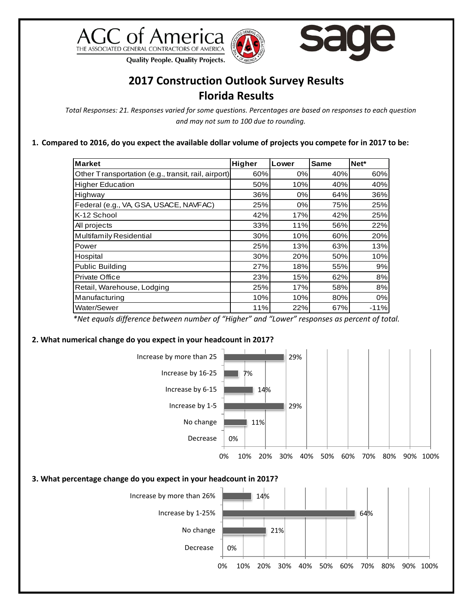





**Quality People. Quality Projects.** 

## **2017 Construction Outlook Survey Results Florida Results**

*Total Responses: 21. Responses varied for some questions. Percentages are based on responses to each question and may not sum to 100 due to rounding.*

**1. Compared to 2016, do you expect the available dollar volume of projects you compete for in 2017 to be:**

| <b>Market</b>                                       | Higher | Lower | Same | Net*   |
|-----------------------------------------------------|--------|-------|------|--------|
| Other Transportation (e.g., transit, rail, airport) | 60%    | 0%    | 40%  | 60%    |
| <b>Higher Education</b>                             | 50%    | 10%   | 40%  | 40%    |
| Highway                                             | 36%    | 0%    | 64%  | 36%    |
| Federal (e.g., VA, GSA, USACE, NAVFAC)              | 25%    | 0%    | 75%  | 25%    |
| K-12 School                                         | 42%    | 17%   | 42%  | 25%    |
| All projects                                        | 33%    | 11%   | 56%  | 22%    |
| Multifamily Residential                             | 30%    | 10%   | 60%  | 20%    |
| Power                                               | 25%    | 13%   | 63%  | 13%    |
| Hospital                                            | 30%    | 20%   | 50%  | 10%    |
| Public Building                                     | 27%    | 18%   | 55%  | 9%     |
| Private Office                                      | 23%    | 15%   | 62%  | 8%     |
| Retail, Warehouse, Lodging                          | 25%    | 17%   | 58%  | 8%     |
| Manufacturing                                       | 10%    | 10%   | 80%  | 0%     |
| Water/Sewer                                         | 11%    | 22%   | 67%  | $-11%$ |

*\*Net equals difference between number of "Higher" and "Lower" responses as percent of total.*

## **2. What numerical change do you expect in your headcount in 2017?**

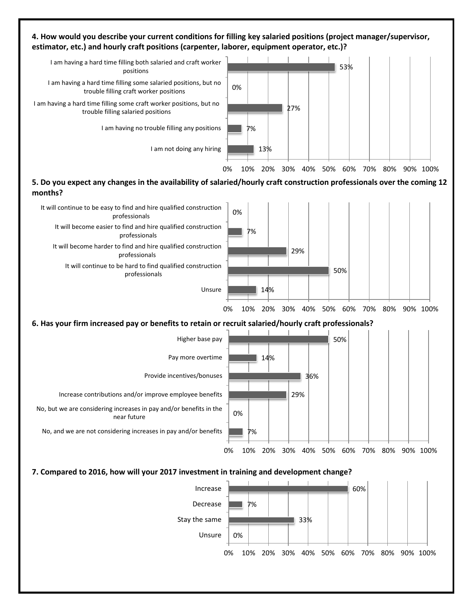## **4. How would you describe your current conditions for filling key salaried positions (project manager/supervisor, estimator, etc.) and hourly craft positions (carpenter, laborer, equipment operator, etc.)?**



**5. Do you expect any changes in the availability of salaried/hourly craft construction professionals over the coming 12 months?**

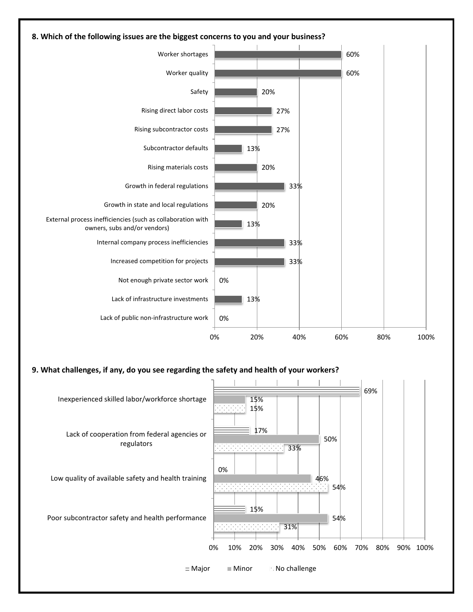

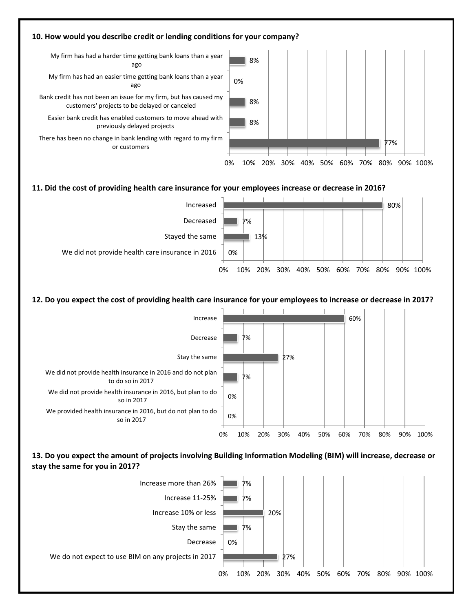

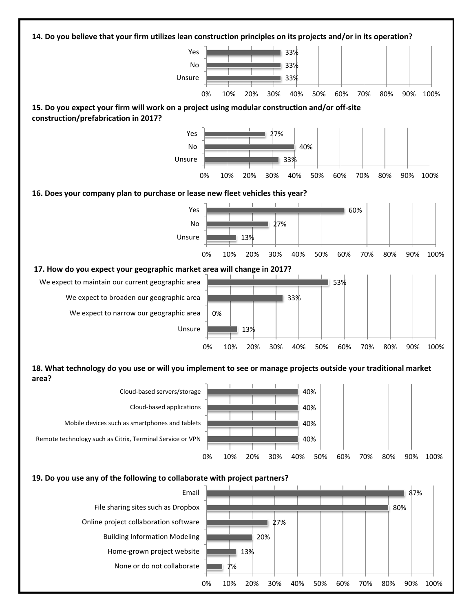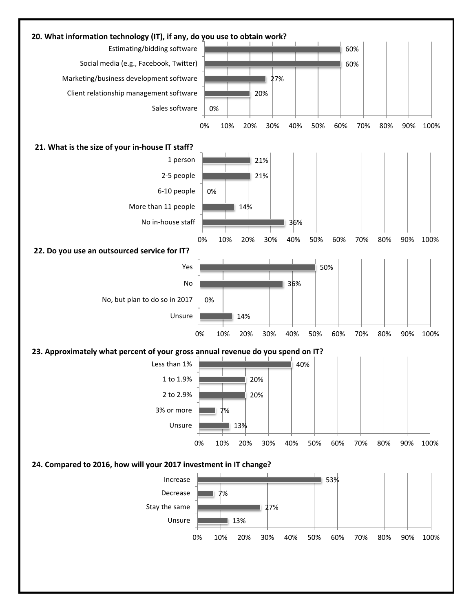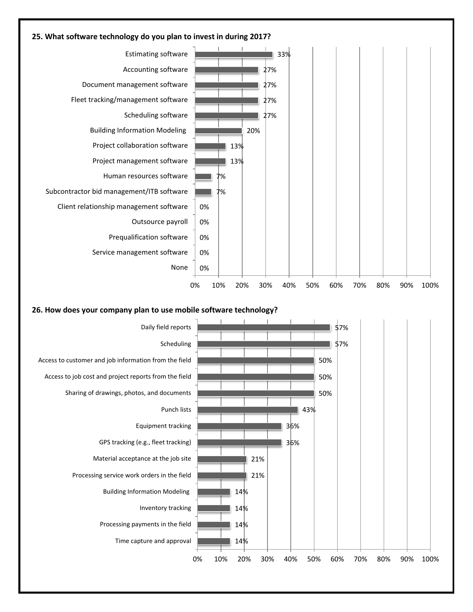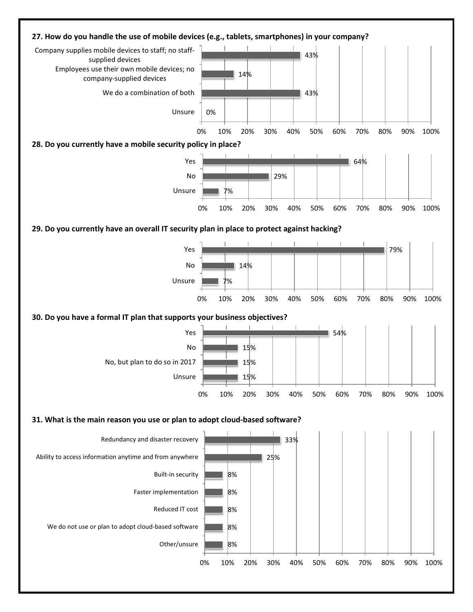